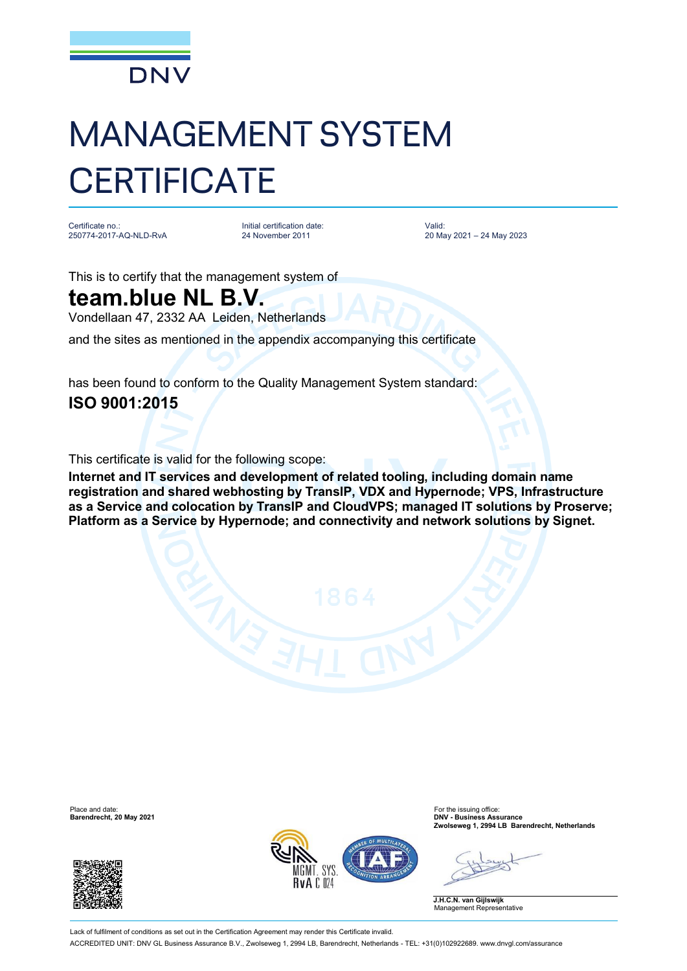

## MANAGEMENT SYSTEM **CERTIFICATE**

Certificate no.: 250774-2017-AQ-NLD-RvA

Initial certification date: 24 November 2011

Valid: 20 May 2021 – 24 May 2023

This is to certify that the management system of

## **team.blue NL B.V.**

Vondellaan 47, 2332 AA Leiden, Netherlands

and the sites as mentioned in the appendix accompanying this certificate

has been found to conform to the Quality Management System standard:

## **ISO 9001:2015**

This certificate is valid for the following scope:

**Internet and IT services and development of related tooling, including domain name registration and shared webhosting by TransIP, VDX and Hypernode; VPS, Infrastructure as a Service and colocation by TransIP and CloudVPS; managed IT solutions by Proserve; Platform as a Service by Hypernode; and connectivity and network solutions by Signet.**





Place and date: For the issuing office: **Barendrecht, 20 May 2021 DNV - Business Assurance Zwolseweg 1, 2994 LB Barendrecht, Netherlands**

**J.H.C.N. van Gijlswijk** Management Representative

Lack of fulfilment of conditions as set out in the Certification Agreement may render this Certificate invalid ACCREDITED UNIT: DNV GL Business Assurance B.V., Zwolseweg 1, 2994 LB, Barendrecht, Netherlands - TEL: +31(0)102922689. [www.dnvgl.com/assurance](http://www.dnvgl.com/assurance)